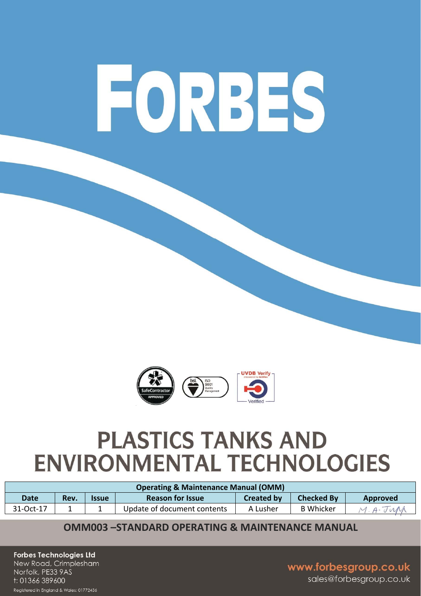# FORBES



# **PLASTICS TANKS AND ENVIRONMENTAL TECHNOLOGIES**

| <b>Operating &amp; Maintenance Manual (OMM)</b> |      |                     |                             |                   |                   |                 |  |  |
|-------------------------------------------------|------|---------------------|-----------------------------|-------------------|-------------------|-----------------|--|--|
| <b>Date</b>                                     | Rev. | <i><b>Issue</b></i> | <b>Reason for Issue</b>     | <b>Created by</b> | <b>Checked By</b> | <b>Approved</b> |  |  |
| 31-Oct-17                                       |      |                     | Update of document contents | A Lusher          | <b>B</b> Whicker  | $\Delta$ .      |  |  |

## **OMM003-STANDARD OPFRATING & MAINTFNANCF MANUAL**

**Forbes Technologies Ltd** New Road, Crimplesham Norfolk, PE33 9AS t: 01366 389600

Registered in England & Wales: 01772436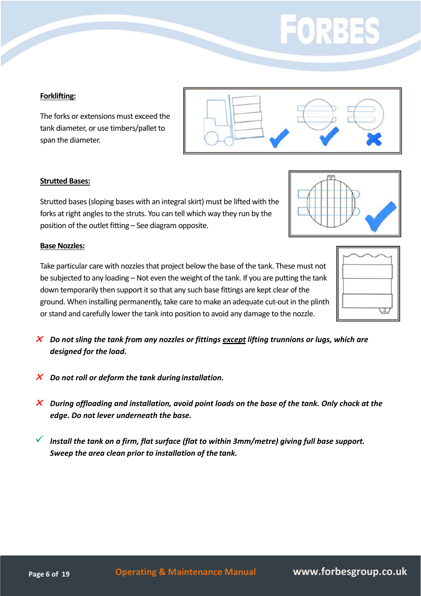# FORBI

#### **Forklifting:**

The forks or extensions must exceed the tank diameter, or use timbers/pallet to span the diameter.

#### **Strutted Bases:**

Strutted bases (sloping bases with an integral skirt) must be lifted with the forks at right angles to the struts. You can tell which way they run by the position of the outlet fitting – See diagram opposite.

#### **Base Nozzles:**

Take particular care with nozzles that project below the base of the tank. These must not be subjected to any loading – Not even the weight of the tank. If you are putting the tank down temporarily then support it so that any such base fittings are kept clear of the ground. When installing permanently, take care to make an adequate cut-out in the plinth or stand and carefully lower the tank into position to avoid any damage to the nozzle.

- *Do not sling the tank from any nozzles or fittings except lifting trunnions or lugs, which are designed for the load.*
- *Do not roll or deform the tank during installation.*
- *During offloading and installation, avoid point loads on the base of the tank. Only chock at the edge. Do not lever underneath the base.*

 *Install the tank on a firm, flat surface (flat to within 3mm/metre) giving full base support. Sweep the area clean prior to installation of the tank.*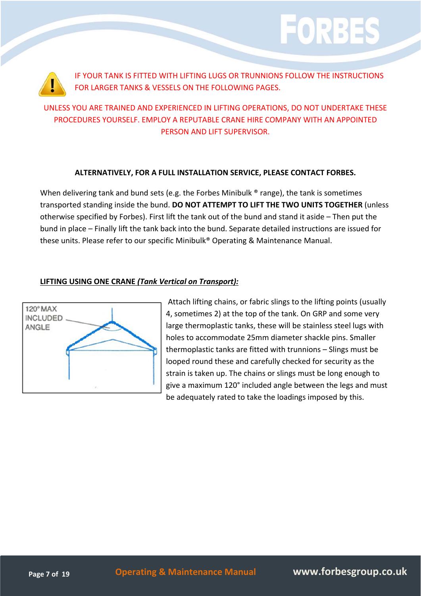

IF YOUR TANK IS FITTED WITH LIFTING LUGS OR TRUNNIONS FOLLOW THE INSTRUCTIONS FOR LARGER TANKS & VESSELS ON THE FOLLOWING PAGES.

EORR

## UNLESS YOU ARE TRAINED AND EXPERIENCED IN LIFTING OPERATIONS, DO NOT UNDERTAKE THESE PROCEDURES YOURSELF. EMPLOY A REPUTABLE CRANE HIRE COMPANY WITH AN APPOINTED PERSON AND LIFT SUPERVISOR.

#### **ALTERNATIVELY, FOR A FULL INSTALLATION SERVICE, PLEASE CONTACT FORBES.**

When delivering tank and bund sets (e.g. the Forbes Minibulk ® range), the tank is sometimes transported standing inside the bund. **DO NOT ATTEMPT TO LIFT THE TWO UNITS TOGETHER** (unless otherwise specified by Forbes). First lift the tank out of the bund and stand it aside – Then put the bund in place – Finally lift the tank back into the bund. Separate detailed instructions are issued for these units. Please refer to our specific Minibulk® Operating & Maintenance Manual.

#### **LIFTING USING ONE CRANE** *(Tank Vertical on Transport):*



Attach lifting chains, or fabric slings to the lifting points (usually 4, sometimes 2) at the top of the tank. On GRP and some very large thermoplastic tanks, these will be stainless steel lugs with holes to accommodate 25mm diameter shackle pins. Smaller thermoplastic tanks are fitted with trunnions – Slings must be looped round these and carefully checked for security as the strain is taken up. The chains or slings must be long enough to give a maximum 120° included angle between the legs and must be adequately rated to take the loadings imposed by this.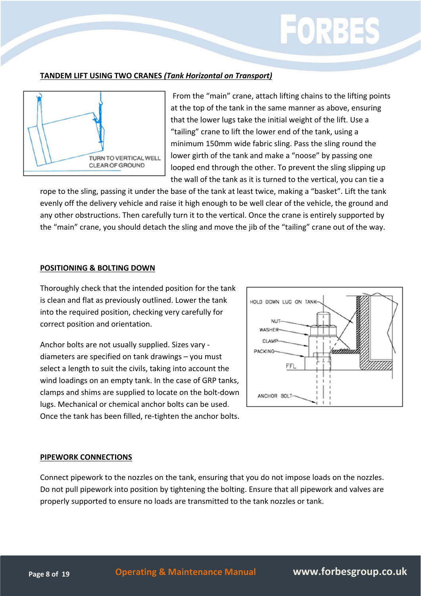#### **TANDEM LIFT USING TWO CRANES** *(Tank Horizontal on Transport)*



From the "main" crane, attach lifting chains to the lifting points at the top of the tank in the same manner as above, ensuring that the lower lugs take the initial weight of the lift. Use a "tailing" crane to lift the lower end of the tank, using a minimum 150mm wide fabric sling. Pass the sling round the lower girth of the tank and make a "noose" by passing one looped end through the other. To prevent the sling slipping up the wall of the tank as it is turned to the vertical, you can tie a

rope to the sling, passing it under the base of the tank at least twice, making a "basket". Lift the tank evenly off the delivery vehicle and raise it high enough to be well clear of the vehicle, the ground and any other obstructions. Then carefully turn it to the vertical. Once the crane is entirely supported by the "main" crane, you should detach the sling and move the jib of the "tailing" crane out of the way.

#### **POSITIONING & BOLTING DOWN**

Thoroughly check that the intended position for the tank is clean and flat as previously outlined. Lower the tank into the required position, checking very carefully for correct position and orientation.

Anchor bolts are not usually supplied. Sizes vary ‐ diameters are specified on tank drawings – you must select a length to suit the civils, taking into account the wind loadings on an empty tank. In the case of GRP tanks, clamps and shims are supplied to locate on the bolt‐down lugs. Mechanical or chemical anchor bolts can be used. Once the tank has been filled, re‐tighten the anchor bolts.



#### **PIPEWORK CONNECTIONS**

Connect pipework to the nozzles on the tank, ensuring that you do not impose loads on the nozzles. Do not pull pipework into position by tightening the bolting. Ensure that all pipework and valves are properly supported to ensure no loads are transmitted to the tank nozzles or tank.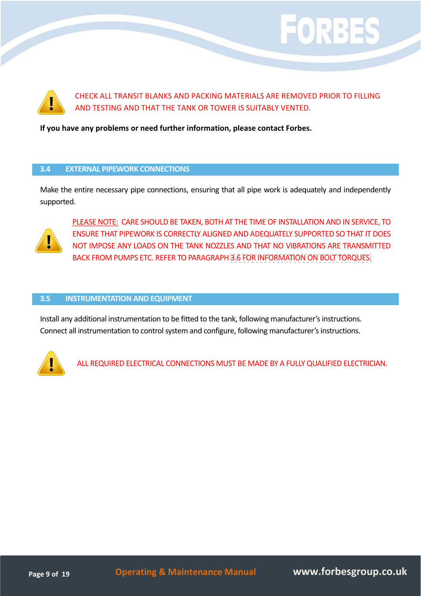

CHECK ALL TRANSIT BLANKS AND PACKING MATERIALS ARE REMOVED PRIOR TO FILLING AND TESTING AND THAT THE TANK OR TOWER IS SUITABLY VENTED.

EORB:

**If you have any problems or need further information, please contact Forbes.**

#### **3.4 EXTERNAL PIPEWORK CONNECTIONS**

Make the entire necessary pipe connections, ensuring that all pipe work is adequately and independently supported.



PLEASE NOTE: CARE SHOULD BE TAKEN, BOTH AT THE TIME OF INSTALLATION AND IN SERVICE, TO ENSURE THAT PIPEWORK IS CORRECTLY ALIGNED AND ADEQUATELY SUPPORTED SO THAT IT DOES NOT IMPOSE ANY LOADS ON THE TANK NOZZLES AND THAT NO VIBRATIONS ARE TRANSMITTED BACK FROM PUMPS ETC. REFER TO PARAGRAPH 3.6 FOR [INFORMATION](#page-10-0) ON BOLT TORQUES.

#### **3.5 INSTRUMENTATION AND EQUIPMENT**

Install any additional instrumentation to be fitted to the tank, following manufacturer's instructions. Connect all instrumentation to control system and configure, following manufacturer's instructions.



ALL REQUIRED ELECTRICAL CONNECTIONS MUST BE MADE BY A FULLY QUALIFIED ELECTRICIAN.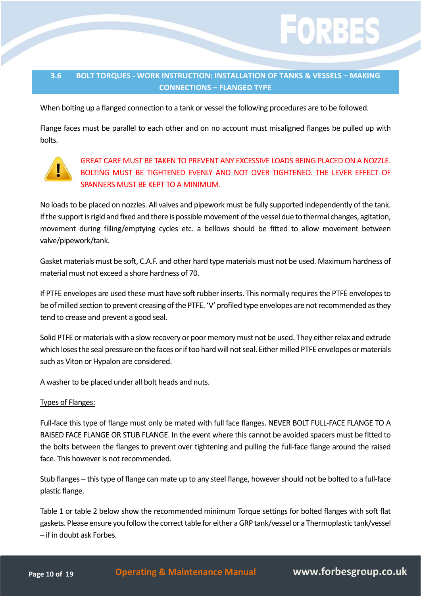

#### <span id="page-10-0"></span>**3.6 BOLT TORQUES ‐ WORK INSTRUCTION: INSTALLATION OF TANKS & VESSELS – MAKING CONNECTIONS – FLANGED TYPE**

When bolting up a flanged connection to a tank or vessel the following procedures are to be followed.

Flange faces must be parallel to each other and on no account must misaligned flanges be pulled up with bolts.



### GREAT CARE MUST BE TAKEN TO PREVENT ANY EXCESSIVE LOADS BEING PLACED ON A NOZZLE. BOLTING MUST BE TIGHTENED EVENLY AND NOT OVER TIGHTENED. THE LEVER EFFECT OF SPANNERS MUST BE KEPT TO A MINIMUM.

No loads to be placed on nozzles. All valves and pipework must be fully supported independently of the tank. If the support is rigid and fixed and there is possible movement of the vessel due to thermal changes, agitation, movement during filling/emptying cycles etc. a bellows should be fitted to allow movement between valve/pipework/tank.

Gasket materials must be soft, C.A.F. and other hard type materials must not be used. Maximum hardness of material must not exceed a shore hardness of 70.

If PTFE envelopes are used these must have soft rubber inserts. This normally requires the PTFE envelopes to be of milled section to prevent creasing of the PTFE. 'V' profiled type envelopes are not recommended as they tend to crease and prevent a good seal.

Solid PTFE or materials with a slow recovery or poor memory must not be used. They either relax and extrude which loses the seal pressure on the faces or if too hard will not seal. Either milled PTFE envelopes or materials such as Viton or Hypalon are considered.

A washer to be placed under all bolt heads and nuts.

#### Types of Flanges:

Full‐face this type of flange must only be mated with full face flanges. NEVER BOLT FULL‐FACE FLANGE TO A RAISED FACE FLANGE OR STUB FLANGE. In the event where this cannot be avoided spacers must be fitted to the bolts between the flanges to prevent over tightening and pulling the full‐face flange around the raised face. This however is not recommended.

Stub flanges – thistype of flange can mate up to any steel flange, howevershould not be bolted to a full‐face plastic flange.

Table 1 or table 2 below show the recommended minimum Torque settings for bolted flanges with soft flat gaskets. Please ensure you follow the correct table for either a GRP tank/vessel or a Thermoplastic tank/vessel – if in doubt ask Forbes.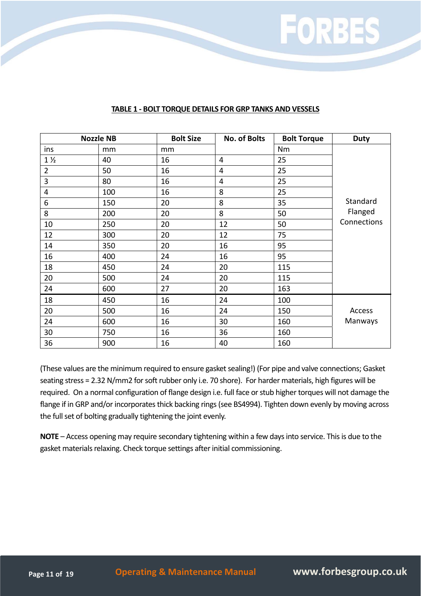

#### **TABLE 1 ‐ BOLT TORQUE DETAILS FOR GRP TANKS AND VESSELS**

| <b>Nozzle NB</b> |     | <b>Bolt Size</b> | <b>No. of Bolts</b> | <b>Bolt Torque</b> | <b>Duty</b> |
|------------------|-----|------------------|---------------------|--------------------|-------------|
| ins              | mm  | mm               |                     | <b>Nm</b>          |             |
| $1\frac{1}{2}$   | 40  | 16               | $\overline{4}$      | 25                 |             |
| $\overline{2}$   | 50  | 16               | 4                   | 25                 |             |
| 3                | 80  | 16               | $\overline{4}$      | 25                 |             |
| 4                | 100 | 16               | 8                   | 25                 |             |
| 6                | 150 | 20               | 8                   | 35                 | Standard    |
| 8                | 200 | 20               | 8                   | 50                 | Flanged     |
| 10               | 250 | 20               | 12                  | 50                 | Connections |
| 12               | 300 | 20               | 12                  | 75                 |             |
| 14               | 350 | 20               | 16                  | 95                 |             |
| 16               | 400 | 24               | 16                  | 95                 |             |
| 18               | 450 | 24               | 20                  | 115                |             |
| 20               | 500 | 24               | 20                  | 115                |             |
| 24               | 600 | 27               | 20                  | 163                |             |
| 18               | 450 | 16               | 24                  | 100                |             |
| 20               | 500 | 16               | 24                  | 150                | Access      |
| 24               | 600 | 16               | 30                  | 160                | Manways     |
| 30               | 750 | 16               | 36                  | 160                |             |
| 36               | 900 | 16               | 40                  | 160                |             |

(These values are the minimum required to ensure gasket sealing!) (For pipe and valve connections; Gasket seating stress = 2.32 N/mm2 for soft rubber only i.e. 70 shore). For harder materials, high figures will be required. On a normal configuration of flange design i.e. full face or stub higher torques will not damage the flange if in GRP and/or incorporates thick backing rings (see BS4994). Tighten down evenly by moving across the full set of bolting gradually tightening the joint evenly.

**NOTE** – Access opening may require secondary tightening within a few days into service. This is due to the gasket materials relaxing. Check torque settings after initial commissioning.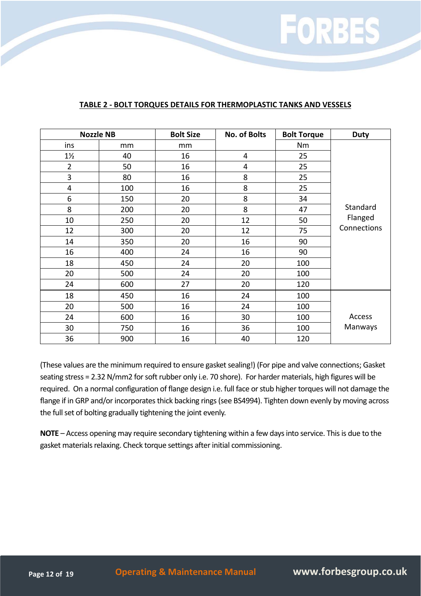

#### **TABLE 2 ‐ BOLT TORQUES DETAILS FOR THERMOPLASTIC TANKS AND VESSELS**

| <b>Nozzle NB</b> |     | <b>Bolt Size</b> | <b>No. of Bolts</b> | <b>Bolt Torque</b> | <b>Duty</b> |
|------------------|-----|------------------|---------------------|--------------------|-------------|
| ins              | mm  | mm               |                     | Nm                 |             |
| $1\frac{1}{2}$   | 40  | 16               | 4                   | 25                 |             |
| $\overline{2}$   | 50  | 16               | 4                   | 25                 |             |
| 3                | 80  | 16               | 8                   | 25                 |             |
| 4                | 100 | 16               | 8                   | 25                 |             |
| 6                | 150 | 20               | 8                   | 34                 |             |
| 8                | 200 | 20               | 8                   | 47                 | Standard    |
| 10               | 250 | 20               | 12                  | 50                 | Flanged     |
| 12               | 300 | 20               | 12                  | 75                 | Connections |
| 14               | 350 | 20               | 16                  | 90                 |             |
| 16               | 400 | 24               | 16                  | 90                 |             |
| 18               | 450 | 24               | 20                  | 100                |             |
| 20               | 500 | 24               | 20                  | 100                |             |
| 24               | 600 | 27               | 20                  | 120                |             |
| 18               | 450 | 16               | 24                  | 100                |             |
| 20               | 500 | 16               | 24                  | 100                |             |
| 24               | 600 | 16               | 30                  | 100                | Access      |
| 30               | 750 | 16               | 36                  | 100                | Manways     |
| 36               | 900 | 16               | 40                  | 120                |             |

(These values are the minimum required to ensure gasket sealing!) (For pipe and valve connections; Gasket seating stress = 2.32 N/mm2 for soft rubber only i.e. 70 shore). For harder materials, high figures will be required. On a normal configuration of flange design i.e. full face or stub higher torques will not damage the flange if in GRP and/or incorporates thick backing rings (see BS4994). Tighten down evenly by moving across the full set of bolting gradually tightening the joint evenly.

**NOTE** – Access opening may require secondary tightening within a few days into service. This is due to the gasket materials relaxing. Check torque settings after initial commissioning.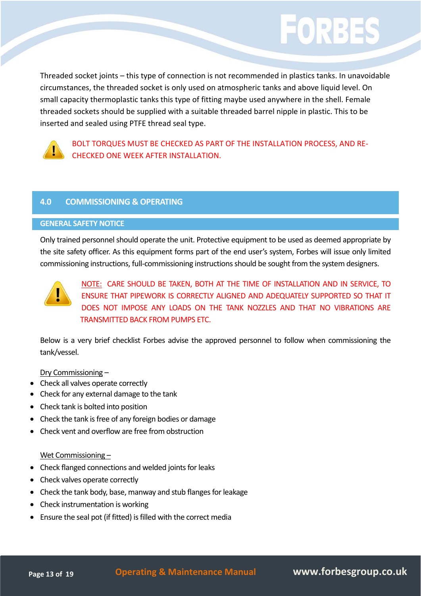Threaded socket joints – this type of connection is not recommended in plastics tanks. In unavoidable circumstances, the threaded socket is only used on atmospheric tanks and above liquid level. On small capacity thermoplastic tanks this type of fitting maybe used anywhere in the shell. Female threaded sockets should be supplied with a suitable threaded barrel nipple in plastic. This to be inserted and sealed using PTFE thread seal type.

EORB:



BOLT TORQUES MUST BE CHECKED AS PART OF THE INSTALLATION PROCESS, AND RE‐ CHECKED ONE WEEK AFTER INSTALLATION.

#### **4.0 COMMISSIONING & OPERATING**

#### **GENERAL SAFETY NOTICE**

Only trained personnel should operate the unit. Protective equipment to be used as deemed appropriate by the site safety officer. As this equipment forms part of the end user's system, Forbes will issue only limited commissioning instructions, full-commissioning instructions should be sought from the system designers.



NOTE: CARE SHOULD BE TAKEN, BOTH AT THE TIME OF INSTALLATION AND IN SERVICE, TO ENSURE THAT PIPEWORK IS CORRECTLY ALIGNED AND ADEQUATELY SUPPORTED SO THAT IT DOES NOT IMPOSE ANY LOADS ON THE TANK NOZZLES AND THAT NO VIBRATIONS ARE TRANSMITTED BACK FROM PUMPS ETC.

Below is a very brief checklist Forbes advise the approved personnel to follow when commissioning the tank/vessel.

Dry Commissioning –

- Check all valves operate correctly
- Check for any external damage to the tank
- Check tank is bolted into position
- Check the tank is free of any foreign bodies or damage
- Check vent and overflow are free from obstruction

#### Wet Commissioning –

- Check flanged connections and welded joints for leaks
- Check valves operate correctly
- Check the tank body, base, manway and stub flanges for leakage
- Check instrumentation is working
- Ensure the seal pot (if fitted) is filled with the correct media

**Page <sup>13</sup> of <sup>19</sup> Operating & Maintenance Manual www.forbesgroup.co.uk**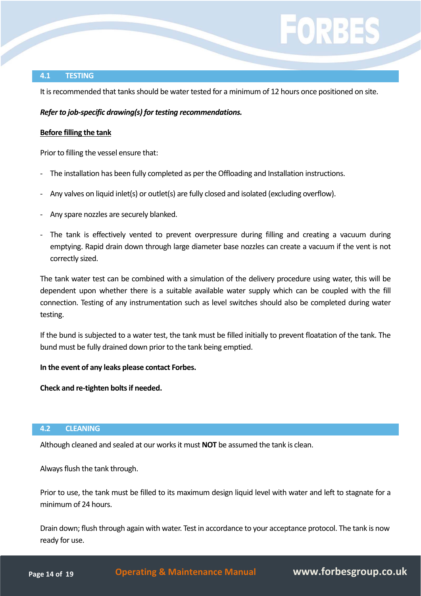#### **4.1 TESTING**

It is recommended that tanks should be water tested for a minimum of 12 hours once positioned on site.

#### *Refer to job-specific drawing(s) for testing recommendations.*

#### **Before filling the tank**

Prior to filling the vessel ensure that:

- The installation has been fully completed as per the Offloading and Installation instructions.
- ‐ Any valves on liquid inlet(s) or outlet(s) are fully closed and isolated (excluding overflow).
- ‐ Any spare nozzles are securely blanked.
- ‐ The tank is effectively vented to prevent overpressure during filling and creating a vacuum during emptying. Rapid drain down through large diameter base nozzles can create a vacuum if the vent is not correctly sized.

The tank water test can be combined with a simulation of the delivery procedure using water, this will be dependent upon whether there is a suitable available water supply which can be coupled with the fill connection. Testing of any instrumentation such as level switches should also be completed during water testing.

If the bund is subjected to a water test, the tank must be filled initially to prevent floatation of the tank. The bund must be fully drained down prior to the tank being emptied.

#### **In the event of any leaks please contact Forbes.**

**Check and re‐tighten boltsif needed.**

#### **4.2 CLEANING**

Although cleaned and sealed at our worksit must **NOT** be assumed the tank is clean.

Alwaysflush the tank through.

Prior to use, the tank must be filled to its maximum design liquid level with water and left to stagnate for a minimum of 24 hours.

Drain down; flush through again with water. Test in accordance to your acceptance protocol. The tank is now ready for use.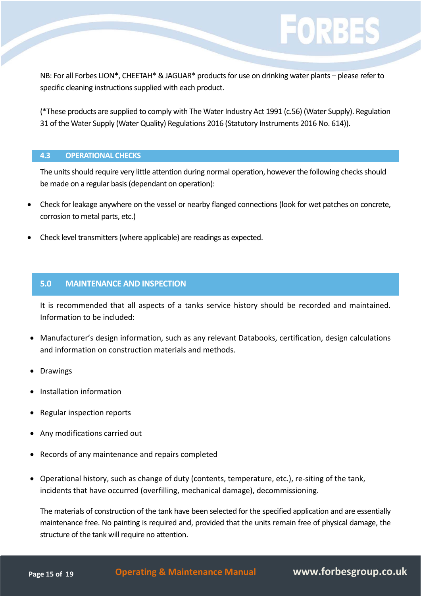# $\left( 0|R3 \right)$

NB: For all Forbes LION\*, CHEETAH\* & JAGUAR\* products for use on drinking water plants – please refer to specific cleaning instructions supplied with each product.

(\*These products are supplied to comply with The Water Industry Act 1991 (c.56) (Water Supply). Regulation 31 of the Water Supply (Water Quality) Regulations 2016 (Statutory Instruments 2016 No. 614)).

#### **4.3 OPERATIONAL CHECKS**

The units should require very little attention during normal operation, however the following checks should be made on a regular basis(dependant on operation):

- Check for leakage anywhere on the vessel or nearby flanged connections (look for wet patches on concrete, corrosion to metal parts, etc.)
- Check level transmitters(where applicable) are readings as expected.

#### **5.0 MAINTENANCE AND INSPECTION**

It is recommended that all aspects of a tanks service history should be recorded and maintained. Information to be included:

- Manufacturer's design information, such as any relevant Databooks, certification, design calculations and information on construction materials and methods.
- Drawings
- Installation information
- Regular inspection reports
- Any modifications carried out
- Records of any maintenance and repairs completed
- Operational history, such as change of duty (contents, temperature, etc.), re-siting of the tank, incidents that have occurred (overfilling, mechanical damage), decommissioning.

The materials of construction of the tank have been selected for the specified application and are essentially maintenance free. No painting is required and, provided that the units remain free of physical damage, the structure of the tank will require no attention.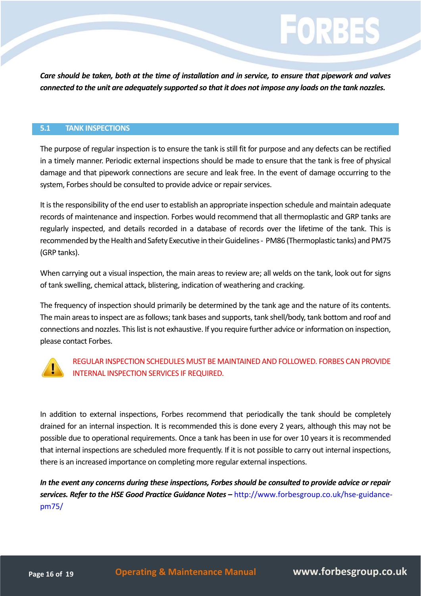Care should be taken, both at the time of installation and in service, to ensure that pipework and valves connected to the unit are adequately supported so that it does not impose any loads on the tank nozzles.

#### **5.1 TANK INSPECTIONS**

The purpose of regular inspection is to ensure the tank is still fit for purpose and any defects can be rectified in a timely manner. Periodic external inspections should be made to ensure that the tank is free of physical damage and that pipework connections are secure and leak free. In the event of damage occurring to the system, Forbes should be consulted to provide advice or repair services.

It is the responsibility of the end user to establish an appropriate inspection schedule and maintain adequate records of maintenance and inspection. Forbes would recommend that all thermoplastic and GRP tanks are regularly inspected, and details recorded in a database of records over the lifetime of the tank. This is recommended by the Health and Safety Executive in their Guidelines - PM86 (Thermoplastic tanks) and PM75 (GRP tanks).

When carrying out a visual inspection, the main areas to review are; all welds on the tank, look out for signs of tank swelling, chemical attack, blistering, indication of weathering and cracking.

The frequency of inspection should primarily be determined by the tank age and the nature of its contents. The main areas to inspect are as follows; tank bases and supports, tank shell/body, tank bottom and roof and connections and nozzles. Thislistis not exhaustive. If you require further advice orinformation on inspection, please contact Forbes.



#### REGULAR INSPECTION SCHEDULES MUST BE MAINTAINED AND FOLLOWED. FORBES CAN PROVIDE INTERNAL INSPECTION SERVICES IF REQUIRED.

In addition to external inspections, Forbes recommend that periodically the tank should be completely drained for an internal inspection. It is recommended this is done every 2 years, although this may not be possible due to operational requirements. Once a tank has been in use for over 10 years it is recommended that internal inspections are scheduled more frequently. If it is not possible to carry out internal inspections, there is an increased importance on completing more regular external inspections.

*In the event any concerns during these inspections, Forbesshould be consulted to provide advice or repair services. Refer to the HSE Good Practice Guidance Notes –* [http://www.forbesgroup.co.uk/hse-guidance](http://www.forbesgroup.co.uk/hse-guidance-pm75/)pm75/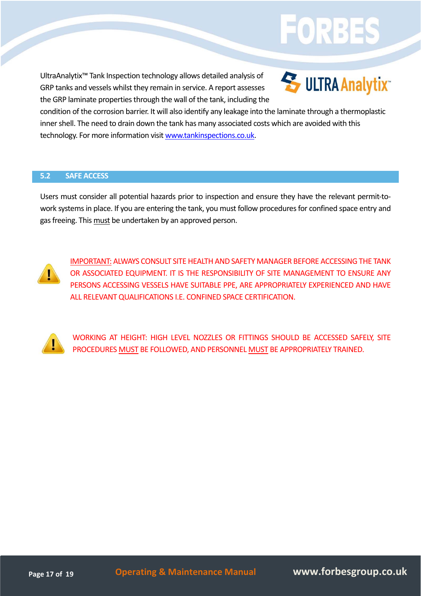## UltraAnalytix™ Tank Inspection technology allows detailed analysis of GRP tanks and vessels whilst they remain in service. A report assesses the GRP laminate properties through the wall of the tank, including the



FORB:

condition of the corrosion barrier. It will also identify any leakage into the laminate through a thermoplastic inner shell. The need to drain down the tank has many associated costs which are avoided with this technology. For more information visit www.tankinspections.co.uk.

#### **5.2 SAFE ACCESS**

Users must consider all potential hazards prior to inspection and ensure they have the relevant permit‐to‐ work systems in place. If you are entering the tank, you must follow procedures for confined space entry and gas freeing. This must be undertaken by an approved person.



IMPORTANT: ALWAYS CONSULT SITE HEALTH AND SAFETY MANAGER BEFORE ACCESSINGTHE TANK OR ASSOCIATED EQUIPMENT. IT IS THE RESPONSIBILITY OF SITE MANAGEMENT TO ENSURE ANY PERSONS ACCESSING VESSELS HAVE SUITABLE PPE, ARE APPROPRIATELY EXPERIENCED AND HAVE ALL RELEVANT QUALIFICATIONS I.E. CONFINED SPACE CERTIFICATION.



WORKING AT HEIGHT: HIGH LEVEL NOZZLES OR FITTINGS SHOULD BE ACCESSED SAFELY, SITE PROCEDURES MUST BE FOLLOWED, AND PERSONNEL MUST BE APPROPRIATELY TRAINED.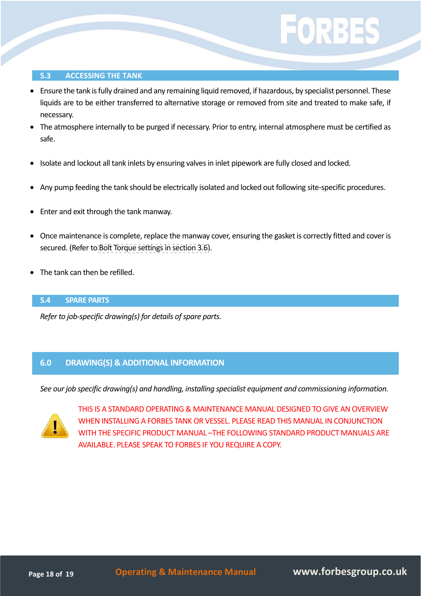#### **5.3 ACCESSING THE TANK**

- Ensure the tank isfully drained and any remaining liquid removed, if hazardous, by specialist personnel. These liquids are to be either transferred to alternative storage or removed from site and treated to make safe, if necessary.
- The atmosphere internally to be purged if necessary. Prior to entry, internal atmosphere must be certified as safe.
- Isolate and lockout all tank inlets by ensuring valves in inlet pipework are fully closed and locked.
- Any pump feeding the tank should be electrically isolated and locked out following site-specific procedures.
- Enter and exit through the tank manway.
- Once maintenance is complete, replace the manway cover, ensuring the gasket is correctly fitted and cover is secured. (Refer to Bolt Torque settings in section 3.6).
- The tank can then be refilled.

#### **5.4 SPARE PARTS**

*Refer to job-specific drawing(s) for details of spare parts.* 

#### **6.0 DRAWING(S) & ADDITIONAL INFORMATION**

*See our job specific drawing(s) and handling, installing specialist equipment and commissioning information.*



THIS IS A STANDARD OPERATING & MAINTENANCE MANUAL DESIGNED TO GIVE AN OVERVIEW WHEN INSTALLING A FORBES TANK OR VESSEL. PLEASE READ THIS MANUAL IN CONJUNCTION WITH THE SPECIFIC PRODUCT MANUAL –THE FOLLOWING STANDARD PRODUCT MANUALS ARE AVAILABLE. PLEASE SPEAK TO FORBES IF YOU REQUIRE A COPY.

**Page <sup>18</sup> of <sup>19</sup> Operating & Maintenance Manual www.forbesgroup.co.uk**